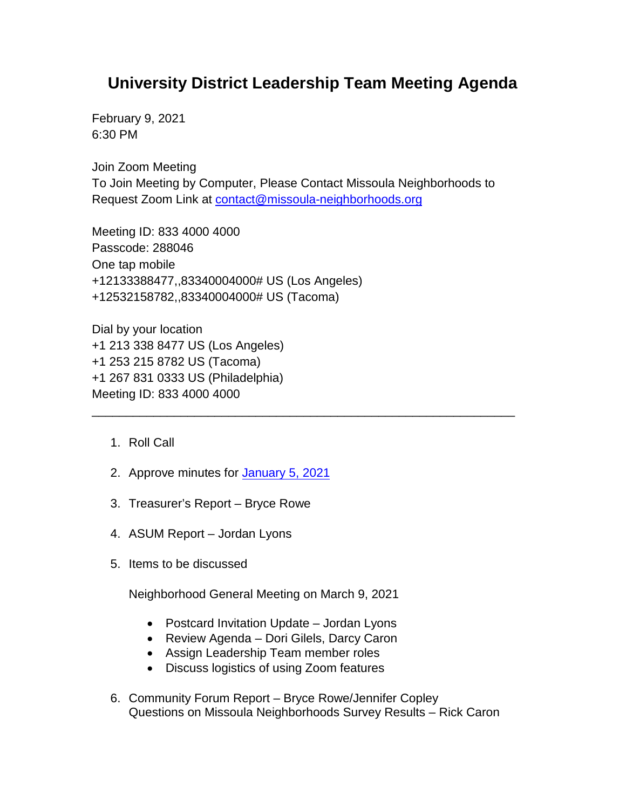## **University District Leadership Team Meeting Agenda**

February 9, 2021 6:30 PM

Join Zoom Meeting To Join Meeting by Computer, Please Contact Missoula Neighborhoods to Request Zoom Link at [contact@missoula-neighborhoods.org](mailto:contact@missoula-neighborhoods.org)

\_\_\_\_\_\_\_\_\_\_\_\_\_\_\_\_\_\_\_\_\_\_\_\_\_\_\_\_\_\_\_\_\_\_\_\_\_\_\_\_\_\_\_\_\_\_\_\_\_\_\_\_\_\_\_\_\_\_\_\_\_\_

Meeting ID: 833 4000 4000 Passcode: 288046 One tap mobile +12133388477,,83340004000# US (Los Angeles) +12532158782,,83340004000# US (Tacoma)

Dial by your location +1 213 338 8477 US (Los Angeles) +1 253 215 8782 US (Tacoma) +1 267 831 0333 US (Philadelphia) Meeting ID: 833 4000 4000

- 1. Roll Call
- 2. Approve minutes for [January](https://www.ci.missoula.mt.us/Archive.aspx?ADID=15736) 5, 2021
- 3. Treasurer's Report Bryce Rowe
- 4. ASUM Report Jordan Lyons
- 5. Items to be discussed

Neighborhood General Meeting on March 9, 2021

- Postcard Invitation Update Jordan Lyons
- Review Agenda Dori Gilels, Darcy Caron
- Assign Leadership Team member roles
- Discuss logistics of using Zoom features
- 6. Community Forum Report Bryce Rowe/Jennifer Copley Questions on Missoula Neighborhoods Survey Results – Rick Caron